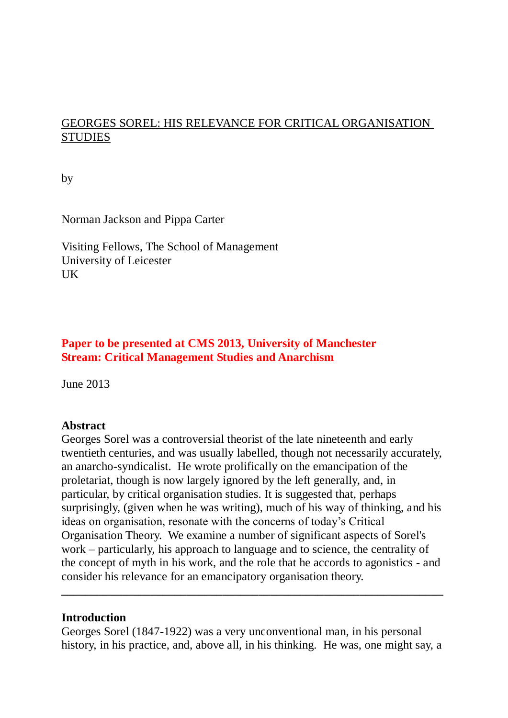# GEORGES SOREL: HIS RELEVANCE FOR CRITICAL ORGANISATION **STUDIES**

by

Norman Jackson and Pippa Carter

Visiting Fellows, The School of Management University of Leicester UK

## **Paper to be presented at CMS 2013, University of Manchester Stream: Critical Management Studies and Anarchism**

June 2013

### **Abstract**

Georges Sorel was a controversial theorist of the late nineteenth and early twentieth centuries, and was usually labelled, though not necessarily accurately, an anarcho-syndicalist. He wrote prolifically on the emancipation of the proletariat, though is now largely ignored by the left generally, and, in particular, by critical organisation studies. It is suggested that, perhaps surprisingly, (given when he was writing), much of his way of thinking, and his ideas on organisation, resonate with the concerns of today's Critical Organisation Theory. We examine a number of significant aspects of Sorel's work – particularly, his approach to language and to science, the centrality of the concept of myth in his work, and the role that he accords to agonistics - and consider his relevance for an emancipatory organisation theory.

#### **Introduction**

Georges Sorel (1847-1922) was a very unconventional man, in his personal history, in his practice, and, above all, in his thinking. He was, one might say, a

**\_\_\_\_\_\_\_\_\_\_\_\_\_\_\_\_\_\_\_\_\_\_\_\_\_\_\_\_\_\_\_\_\_\_\_\_\_\_\_\_\_\_\_\_\_\_\_\_\_\_\_\_\_\_\_\_\_\_\_\_\_\_\_\_**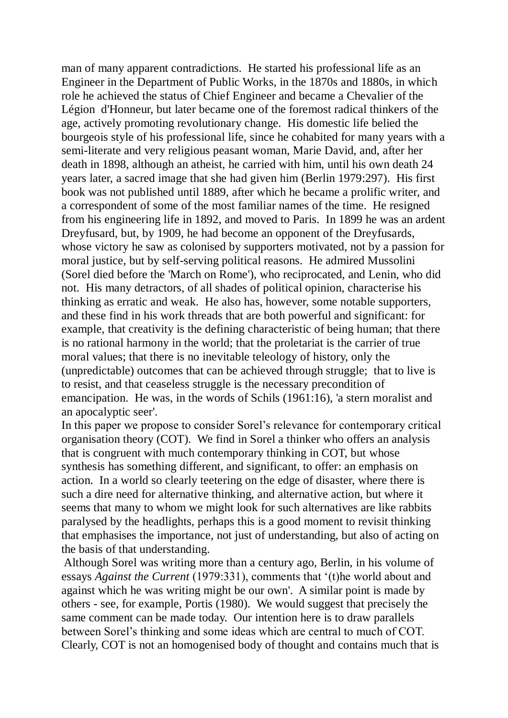man of many apparent contradictions. He started his professional life as an Engineer in the Department of Public Works, in the 1870s and 1880s, in which role he achieved the status of Chief Engineer and became a Chevalier of the Légion d'Honneur, but later became one of the foremost radical thinkers of the age, actively promoting revolutionary change. His domestic life belied the bourgeois style of his professional life, since he cohabited for many years with a semi-literate and very religious peasant woman, Marie David, and, after her death in 1898, although an atheist, he carried with him, until his own death 24 years later, a sacred image that she had given him (Berlin 1979:297). His first book was not published until 1889, after which he became a prolific writer, and a correspondent of some of the most familiar names of the time. He resigned from his engineering life in 1892, and moved to Paris. In 1899 he was an ardent Dreyfusard, but, by 1909, he had become an opponent of the Dreyfusards, whose victory he saw as colonised by supporters motivated, not by a passion for moral justice, but by self-serving political reasons. He admired Mussolini (Sorel died before the 'March on Rome'), who reciprocated, and Lenin, who did not. His many detractors, of all shades of political opinion, characterise his thinking as erratic and weak. He also has, however, some notable supporters, and these find in his work threads that are both powerful and significant: for example, that creativity is the defining characteristic of being human; that there is no rational harmony in the world; that the proletariat is the carrier of true moral values; that there is no inevitable teleology of history, only the (unpredictable) outcomes that can be achieved through struggle; that to live is to resist, and that ceaseless struggle is the necessary precondition of emancipation. He was, in the words of Schils (1961:16), 'a stern moralist and an apocalyptic seer'.

In this paper we propose to consider Sorel's relevance for contemporary critical organisation theory (COT). We find in Sorel a thinker who offers an analysis that is congruent with much contemporary thinking in COT, but whose synthesis has something different, and significant, to offer: an emphasis on action. In a world so clearly teetering on the edge of disaster, where there is such a dire need for alternative thinking, and alternative action, but where it seems that many to whom we might look for such alternatives are like rabbits paralysed by the headlights, perhaps this is a good moment to revisit thinking that emphasises the importance, not just of understanding, but also of acting on the basis of that understanding.

Although Sorel was writing more than a century ago, Berlin, in his volume of essays *Against the Current* (1979:331), comments that '(t)he world about and against which he was writing might be our own'. A similar point is made by others - see, for example, Portis (1980). We would suggest that precisely the same comment can be made today. Our intention here is to draw parallels between Sorel's thinking and some ideas which are central to much of COT. Clearly, COT is not an homogenised body of thought and contains much that is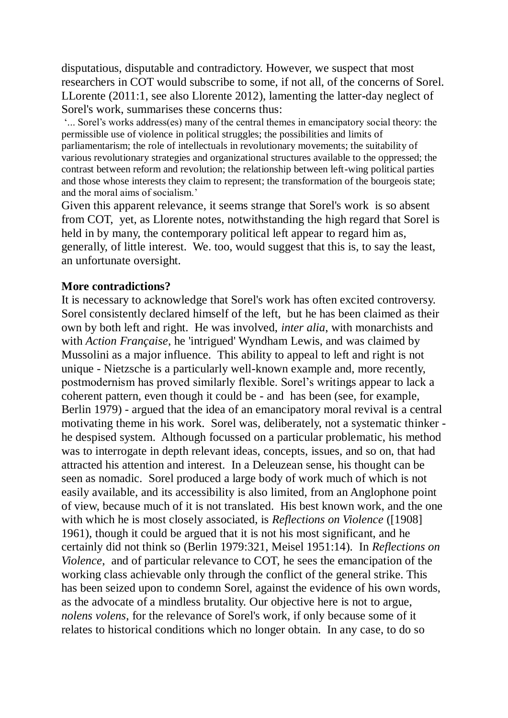disputatious, disputable and contradictory. However, we suspect that most researchers in COT would subscribe to some, if not all, of the concerns of Sorel. LLorente (2011:1, see also Llorente 2012), lamenting the latter-day neglect of Sorel's work, summarises these concerns thus:

'... Sorel's works address(es) many of the central themes in emancipatory social theory: the permissible use of violence in political struggles; the possibilities and limits of parliamentarism; the role of intellectuals in revolutionary movements; the suitability of various revolutionary strategies and organizational structures available to the oppressed; the contrast between reform and revolution; the relationship between left-wing political parties and those whose interests they claim to represent; the transformation of the bourgeois state; and the moral aims of socialism.'

Given this apparent relevance, it seems strange that Sorel's work is so absent from COT, yet, as Llorente notes, notwithstanding the high regard that Sorel is held in by many, the contemporary political left appear to regard him as, generally, of little interest. We. too, would suggest that this is, to say the least, an unfortunate oversight.

#### **More contradictions?**

It is necessary to acknowledge that Sorel's work has often excited controversy. Sorel consistently declared himself of the left, but he has been claimed as their own by both left and right. He was involved, *inter alia*, with monarchists and with *Action Française*, he 'intrigued' Wyndham Lewis, and was claimed by Mussolini as a major influence. This ability to appeal to left and right is not unique - Nietzsche is a particularly well-known example and, more recently, postmodernism has proved similarly flexible. Sorel's writings appear to lack a coherent pattern, even though it could be - and has been (see, for example, Berlin 1979) - argued that the idea of an emancipatory moral revival is a central motivating theme in his work. Sorel was, deliberately, not a systematic thinker he despised system. Although focussed on a particular problematic, his method was to interrogate in depth relevant ideas, concepts, issues, and so on, that had attracted his attention and interest. In a Deleuzean sense, his thought can be seen as nomadic. Sorel produced a large body of work much of which is not easily available, and its accessibility is also limited, from an Anglophone point of view, because much of it is not translated. His best known work, and the one with which he is most closely associated, is *Reflections on Violence* ([1908] 1961), though it could be argued that it is not his most significant, and he certainly did not think so (Berlin 1979:321, Meisel 1951:14). In *Reflections on Violence*, and of particular relevance to COT, he sees the emancipation of the working class achievable only through the conflict of the general strike. This has been seized upon to condemn Sorel, against the evidence of his own words, as the advocate of a mindless brutality. Our objective here is not to argue, *nolens volens*, for the relevance of Sorel's work, if only because some of it relates to historical conditions which no longer obtain. In any case, to do so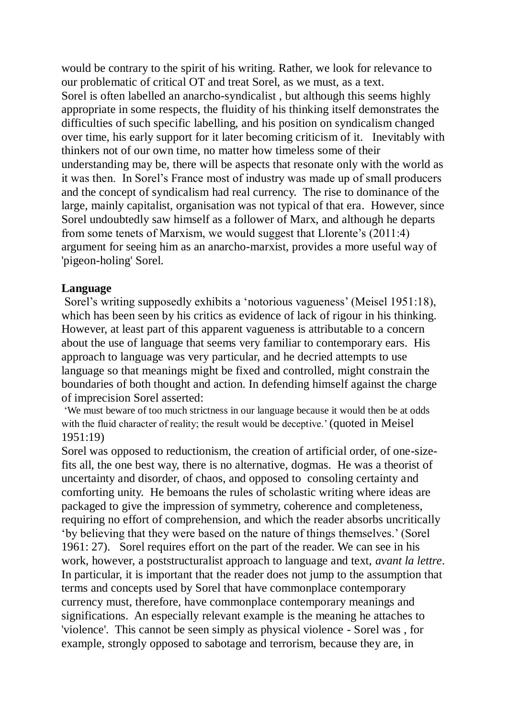would be contrary to the spirit of his writing. Rather, we look for relevance to our problematic of critical OT and treat Sorel, as we must, as a text. Sorel is often labelled an anarcho-syndicalist , but although this seems highly appropriate in some respects, the fluidity of his thinking itself demonstrates the difficulties of such specific labelling, and his position on syndicalism changed over time, his early support for it later becoming criticism of it. Inevitably with thinkers not of our own time, no matter how timeless some of their understanding may be, there will be aspects that resonate only with the world as it was then. In Sorel's France most of industry was made up of small producers and the concept of syndicalism had real currency. The rise to dominance of the large, mainly capitalist, organisation was not typical of that era. However, since Sorel undoubtedly saw himself as a follower of Marx, and although he departs from some tenets of Marxism, we would suggest that Llorente's (2011:4) argument for seeing him as an anarcho-marxist, provides a more useful way of 'pigeon-holing' Sorel.

#### **Language**

Sorel's writing supposedly exhibits a 'notorious vagueness' (Meisel 1951:18), which has been seen by his critics as evidence of lack of rigour in his thinking. However, at least part of this apparent vagueness is attributable to a concern about the use of language that seems very familiar to contemporary ears. His approach to language was very particular, and he decried attempts to use language so that meanings might be fixed and controlled, might constrain the boundaries of both thought and action. In defending himself against the charge of imprecision Sorel asserted:

'We must beware of too much strictness in our language because it would then be at odds with the fluid character of reality; the result would be deceptive.' (quoted in Meisel 1951:19)

Sorel was opposed to reductionism, the creation of artificial order, of one-sizefits all, the one best way, there is no alternative, dogmas. He was a theorist of uncertainty and disorder, of chaos, and opposed to consoling certainty and comforting unity. He bemoans the rules of scholastic writing where ideas are packaged to give the impression of symmetry, coherence and completeness, requiring no effort of comprehension, and which the reader absorbs uncritically 'by believing that they were based on the nature of things themselves.' (Sorel 1961: 27). Sorel requires effort on the part of the reader. We can see in his work, however, a poststructuralist approach to language and text, *avant la lettre*. In particular, it is important that the reader does not jump to the assumption that terms and concepts used by Sorel that have commonplace contemporary currency must, therefore, have commonplace contemporary meanings and significations. An especially relevant example is the meaning he attaches to 'violence'. This cannot be seen simply as physical violence - Sorel was , for example, strongly opposed to sabotage and terrorism, because they are, in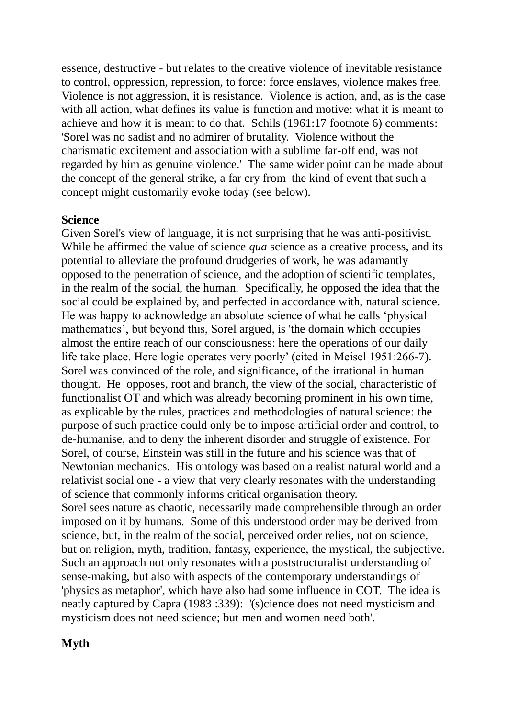essence, destructive - but relates to the creative violence of inevitable resistance to control, oppression, repression, to force: force enslaves, violence makes free. Violence is not aggression, it is resistance. Violence is action, and, as is the case with all action, what defines its value is function and motive: what it is meant to achieve and how it is meant to do that. Schils (1961:17 footnote 6) comments: 'Sorel was no sadist and no admirer of brutality. Violence without the charismatic excitement and association with a sublime far-off end, was not regarded by him as genuine violence.' The same wider point can be made about the concept of the general strike, a far cry from the kind of event that such a concept might customarily evoke today (see below).

#### **Science**

Given Sorel's view of language, it is not surprising that he was anti-positivist. While he affirmed the value of science *qua* science as a creative process, and its potential to alleviate the profound drudgeries of work, he was adamantly opposed to the penetration of science, and the adoption of scientific templates, in the realm of the social, the human. Specifically, he opposed the idea that the social could be explained by, and perfected in accordance with, natural science. He was happy to acknowledge an absolute science of what he calls 'physical mathematics', but beyond this, Sorel argued, is 'the domain which occupies almost the entire reach of our consciousness: here the operations of our daily life take place. Here logic operates very poorly' (cited in Meisel 1951:266-7). Sorel was convinced of the role, and significance, of the irrational in human thought. He opposes, root and branch, the view of the social, characteristic of functionalist OT and which was already becoming prominent in his own time, as explicable by the rules, practices and methodologies of natural science: the purpose of such practice could only be to impose artificial order and control, to de-humanise, and to deny the inherent disorder and struggle of existence. For Sorel, of course, Einstein was still in the future and his science was that of Newtonian mechanics. His ontology was based on a realist natural world and a relativist social one - a view that very clearly resonates with the understanding of science that commonly informs critical organisation theory. Sorel sees nature as chaotic, necessarily made comprehensible through an order imposed on it by humans. Some of this understood order may be derived from science, but, in the realm of the social, perceived order relies, not on science, but on religion, myth, tradition, fantasy, experience, the mystical, the subjective. Such an approach not only resonates with a poststructuralist understanding of sense-making, but also with aspects of the contemporary understandings of 'physics as metaphor', which have also had some influence in COT. The idea is neatly captured by Capra (1983 :339): '(s)cience does not need mysticism and mysticism does not need science; but men and women need both'.

### **Myth**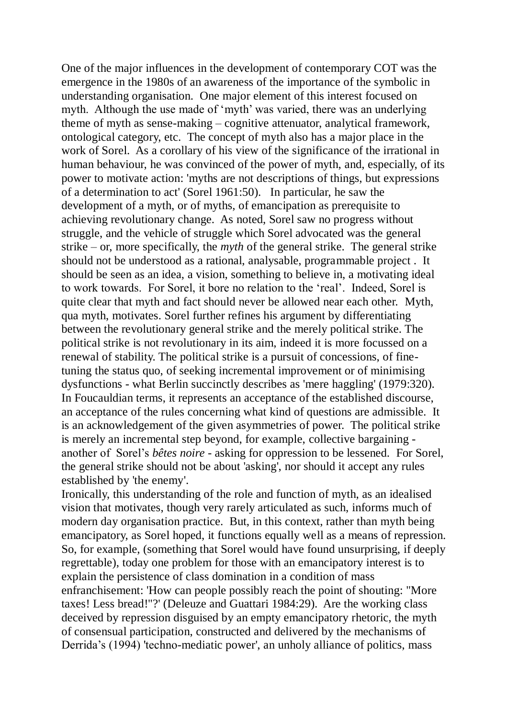One of the major influences in the development of contemporary COT was the emergence in the 1980s of an awareness of the importance of the symbolic in understanding organisation. One major element of this interest focused on myth. Although the use made of 'myth' was varied, there was an underlying theme of myth as sense-making – cognitive attenuator, analytical framework, ontological category, etc. The concept of myth also has a major place in the work of Sorel. As a corollary of his view of the significance of the irrational in human behaviour, he was convinced of the power of myth, and, especially, of its power to motivate action: 'myths are not descriptions of things, but expressions of a determination to act' (Sorel 1961:50). In particular, he saw the development of a myth, or of myths, of emancipation as prerequisite to achieving revolutionary change. As noted, Sorel saw no progress without struggle, and the vehicle of struggle which Sorel advocated was the general strike – or, more specifically, the *myth* of the general strike. The general strike should not be understood as a rational, analysable, programmable project . It should be seen as an idea, a vision, something to believe in, a motivating ideal to work towards. For Sorel, it bore no relation to the 'real'. Indeed, Sorel is quite clear that myth and fact should never be allowed near each other. Myth, qua myth, motivates. Sorel further refines his argument by differentiating between the revolutionary general strike and the merely political strike. The political strike is not revolutionary in its aim, indeed it is more focussed on a renewal of stability. The political strike is a pursuit of concessions, of finetuning the status quo, of seeking incremental improvement or of minimising dysfunctions - what Berlin succinctly describes as 'mere haggling' (1979:320). In Foucauldian terms, it represents an acceptance of the established discourse, an acceptance of the rules concerning what kind of questions are admissible. It is an acknowledgement of the given asymmetries of power. The political strike is merely an incremental step beyond, for example, collective bargaining another of Sorel's *bêtes noire* - asking for oppression to be lessened. For Sorel, the general strike should not be about 'asking', nor should it accept any rules established by 'the enemy'.

Ironically, this understanding of the role and function of myth, as an idealised vision that motivates, though very rarely articulated as such, informs much of modern day organisation practice. But, in this context, rather than myth being emancipatory, as Sorel hoped, it functions equally well as a means of repression. So, for example, (something that Sorel would have found unsurprising, if deeply regrettable), today one problem for those with an emancipatory interest is to explain the persistence of class domination in a condition of mass enfranchisement: 'How can people possibly reach the point of shouting: "More taxes! Less bread!"?' (Deleuze and Guattari 1984:29). Are the working class deceived by repression disguised by an empty emancipatory rhetoric, the myth of consensual participation, constructed and delivered by the mechanisms of Derrida's (1994) 'techno-mediatic power', an unholy alliance of politics, mass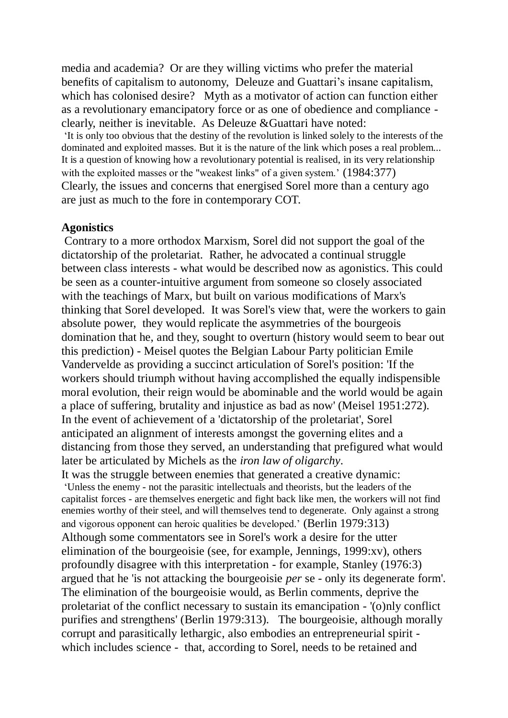media and academia? Or are they willing victims who prefer the material benefits of capitalism to autonomy, Deleuze and Guattari's insane capitalism, which has colonised desire? Myth as a motivator of action can function either as a revolutionary emancipatory force or as one of obedience and compliance clearly, neither is inevitable. As Deleuze &Guattari have noted:

'It is only too obvious that the destiny of the revolution is linked solely to the interests of the dominated and exploited masses. But it is the nature of the link which poses a real problem... It is a question of knowing how a revolutionary potential is realised, in its very relationship with the exploited masses or the "weakest links" of a given system.' (1984:377) Clearly, the issues and concerns that energised Sorel more than a century ago are just as much to the fore in contemporary COT.

#### **Agonistics**

Contrary to a more orthodox Marxism, Sorel did not support the goal of the dictatorship of the proletariat. Rather, he advocated a continual struggle between class interests - what would be described now as agonistics. This could be seen as a counter-intuitive argument from someone so closely associated with the teachings of Marx, but built on various modifications of Marx's thinking that Sorel developed. It was Sorel's view that, were the workers to gain absolute power, they would replicate the asymmetries of the bourgeois domination that he, and they, sought to overturn (history would seem to bear out this prediction) - Meisel quotes the Belgian Labour Party politician Emile Vandervelde as providing a succinct articulation of Sorel's position: 'If the workers should triumph without having accomplished the equally indispensible moral evolution, their reign would be abominable and the world would be again a place of suffering, brutality and injustice as bad as now' (Meisel 1951:272). In the event of achievement of a 'dictatorship of the proletariat', Sorel anticipated an alignment of interests amongst the governing elites and a distancing from those they served, an understanding that prefigured what would later be articulated by Michels as the *iron law of oligarchy*. It was the struggle between enemies that generated a creative dynamic:

'Unless the enemy - not the parasitic intellectuals and theorists, but the leaders of the capitalist forces - are themselves energetic and fight back like men, the workers will not find enemies worthy of their steel, and will themselves tend to degenerate. Only against a strong and vigorous opponent can heroic qualities be developed.' (Berlin 1979:313) Although some commentators see in Sorel's work a desire for the utter elimination of the bourgeoisie (see, for example, Jennings, 1999:xv), others profoundly disagree with this interpretation - for example, Stanley (1976:3) argued that he 'is not attacking the bourgeoisie *per* se - only its degenerate form'. The elimination of the bourgeoisie would, as Berlin comments, deprive the proletariat of the conflict necessary to sustain its emancipation - '(o)nly conflict purifies and strengthens' (Berlin 1979:313). The bourgeoisie, although morally corrupt and parasitically lethargic, also embodies an entrepreneurial spirit which includes science - that, according to Sorel, needs to be retained and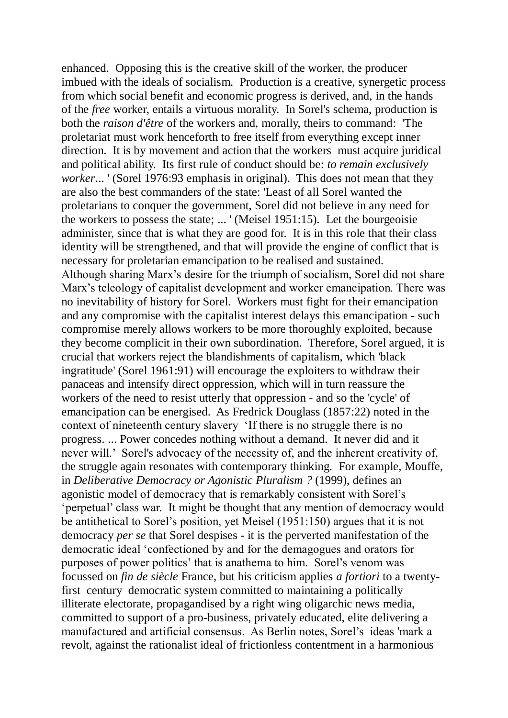enhanced. Opposing this is the creative skill of the worker, the producer imbued with the ideals of socialism. Production is a creative, synergetic process from which social benefit and economic progress is derived, and, in the hands of the *free* worker, entails a virtuous morality. In Sorel's schema, production is both the *raison d'être* of the workers and, morally, theirs to command: 'The proletariat must work henceforth to free itself from everything except inner direction. It is by movement and action that the workers must acquire juridical and political ability. Its first rule of conduct should be: *to remain exclusively worker...* ' (Sorel 1976:93 emphasis in original). This does not mean that they are also the best commanders of the state: 'Least of all Sorel wanted the proletarians to conquer the government, Sorel did not believe in any need for the workers to possess the state; ... ' (Meisel 1951:15). Let the bourgeoisie administer, since that is what they are good for. It is in this role that their class identity will be strengthened, and that will provide the engine of conflict that is necessary for proletarian emancipation to be realised and sustained. Although sharing Marx's desire for the triumph of socialism, Sorel did not share Marx's teleology of capitalist development and worker emancipation. There was no inevitability of history for Sorel. Workers must fight for their emancipation and any compromise with the capitalist interest delays this emancipation - such compromise merely allows workers to be more thoroughly exploited, because they become complicit in their own subordination. Therefore, Sorel argued, it is crucial that workers reject the blandishments of capitalism, which 'black ingratitude' (Sorel 1961:91) will encourage the exploiters to withdraw their panaceas and intensify direct oppression, which will in turn reassure the workers of the need to resist utterly that oppression - and so the 'cycle' of emancipation can be energised. As Fredrick Douglass (1857:22) noted in the context of nineteenth century slavery 'If there is no struggle there is no progress. ... Power concedes nothing without a demand. It never did and it never will.' Sorel's advocacy of the necessity of, and the inherent creativity of, the struggle again resonates with contemporary thinking. For example, Mouffe, in *Deliberative Democracy or Agonistic Pluralism ?* (1999), defines an agonistic model of democracy that is remarkably consistent with Sorel's 'perpetual' class war. It might be thought that any mention of democracy would be antithetical to Sorel's position, yet Meisel (1951:150) argues that it is not democracy *per se* that Sorel despises - it is the perverted manifestation of the democratic ideal 'confectioned by and for the demagogues and orators for purposes of power politics' that is anathema to him. Sorel's venom was focussed on *fin de siècle* France, but his criticism applies *a fortiori* to a twentyfirst century democratic system committed to maintaining a politically illiterate electorate, propagandised by a right wing oligarchic news media, committed to support of a pro-business, privately educated, elite delivering a manufactured and artificial consensus. As Berlin notes, Sorel's ideas 'mark a revolt, against the rationalist ideal of frictionless contentment in a harmonious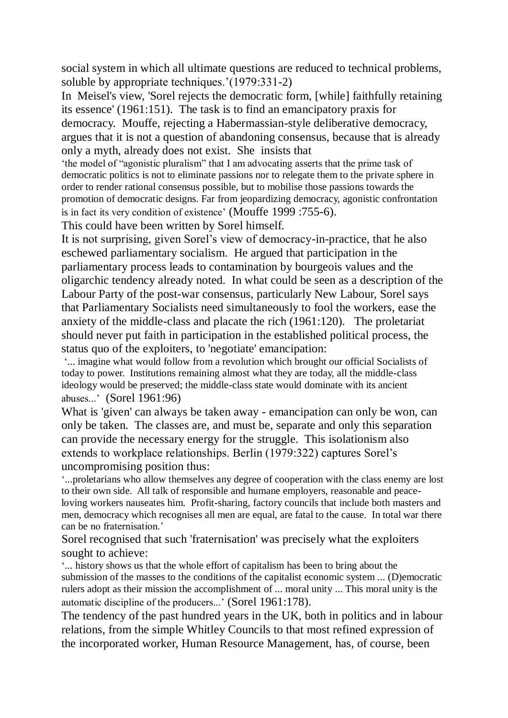social system in which all ultimate questions are reduced to technical problems, soluble by appropriate techniques.'(1979:331-2)

In Meisel's view, 'Sorel rejects the democratic form, [while] faithfully retaining its essence' (1961:151). The task is to find an emancipatory praxis for democracy. Mouffe, rejecting a Habermassian-style deliberative democracy, argues that it is not a question of abandoning consensus, because that is already only a myth, already does not exist. She insists that

'the model of "agonistic pluralism" that I am advocating asserts that the prime task of democratic politics is not to eliminate passions nor to relegate them to the private sphere in order to render rational consensus possible, but to mobilise those passions towards the promotion of democratic designs. Far from jeopardizing democracy, agonistic confrontation is in fact its very condition of existence' (Mouffe 1999 :755-6).

This could have been written by Sorel himself.

It is not surprising, given Sorel's view of democracy-in-practice, that he also eschewed parliamentary socialism. He argued that participation in the parliamentary process leads to contamination by bourgeois values and the oligarchic tendency already noted. In what could be seen as a description of the Labour Party of the post-war consensus, particularly New Labour, Sorel says that Parliamentary Socialists need simultaneously to fool the workers, ease the anxiety of the middle-class and placate the rich (1961:120). The proletariat should never put faith in participation in the established political process, the status quo of the exploiters, to 'negotiate' emancipation:

'... imagine what would follow from a revolution which brought our official Socialists of today to power. Institutions remaining almost what they are today, all the middle-class ideology would be preserved; the middle-class state would dominate with its ancient abuses...' (Sorel 1961:96)

What is 'given' can always be taken away - emancipation can only be won, can only be taken. The classes are, and must be, separate and only this separation can provide the necessary energy for the struggle. This isolationism also extends to workplace relationships. Berlin (1979:322) captures Sorel's uncompromising position thus:

'...proletarians who allow themselves any degree of cooperation with the class enemy are lost to their own side. All talk of responsible and humane employers, reasonable and peaceloving workers nauseates him. Profit-sharing, factory councils that include both masters and men, democracy which recognises all men are equal, are fatal to the cause. In total war there can be no fraternisation.'

Sorel recognised that such 'fraternisation' was precisely what the exploiters sought to achieve:

'... history shows us that the whole effort of capitalism has been to bring about the submission of the masses to the conditions of the capitalist economic system ... (D)emocratic rulers adopt as their mission the accomplishment of ... moral unity ... This moral unity is the automatic discipline of the producers...' (Sorel 1961:178).

The tendency of the past hundred years in the UK, both in politics and in labour relations, from the simple Whitley Councils to that most refined expression of the incorporated worker, Human Resource Management, has, of course, been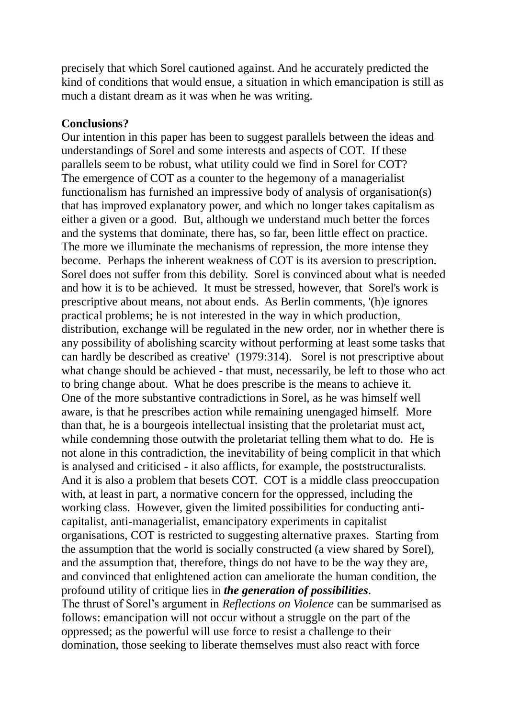precisely that which Sorel cautioned against. And he accurately predicted the kind of conditions that would ensue, a situation in which emancipation is still as much a distant dream as it was when he was writing.

#### **Conclusions?**

Our intention in this paper has been to suggest parallels between the ideas and understandings of Sorel and some interests and aspects of COT. If these parallels seem to be robust, what utility could we find in Sorel for COT? The emergence of COT as a counter to the hegemony of a managerialist functionalism has furnished an impressive body of analysis of organisation(s) that has improved explanatory power, and which no longer takes capitalism as either a given or a good. But, although we understand much better the forces and the systems that dominate, there has, so far, been little effect on practice. The more we illuminate the mechanisms of repression, the more intense they become. Perhaps the inherent weakness of COT is its aversion to prescription. Sorel does not suffer from this debility. Sorel is convinced about what is needed and how it is to be achieved. It must be stressed, however, that Sorel's work is prescriptive about means, not about ends. As Berlin comments, '(h)e ignores practical problems; he is not interested in the way in which production, distribution, exchange will be regulated in the new order, nor in whether there is any possibility of abolishing scarcity without performing at least some tasks that can hardly be described as creative' (1979:314). Sorel is not prescriptive about what change should be achieved - that must, necessarily, be left to those who act to bring change about. What he does prescribe is the means to achieve it. One of the more substantive contradictions in Sorel, as he was himself well aware, is that he prescribes action while remaining unengaged himself. More than that, he is a bourgeois intellectual insisting that the proletariat must act, while condemning those outwith the proletariat telling them what to do. He is not alone in this contradiction, the inevitability of being complicit in that which is analysed and criticised - it also afflicts, for example, the poststructuralists. And it is also a problem that besets COT. COT is a middle class preoccupation with, at least in part, a normative concern for the oppressed, including the working class. However, given the limited possibilities for conducting anticapitalist, anti-managerialist, emancipatory experiments in capitalist organisations, COT is restricted to suggesting alternative praxes. Starting from the assumption that the world is socially constructed (a view shared by Sorel), and the assumption that, therefore, things do not have to be the way they are, and convinced that enlightened action can ameliorate the human condition, the profound utility of critique lies in *the generation of possibilities*. The thrust of Sorel's argument in *Reflections on Violence* can be summarised as follows: emancipation will not occur without a struggle on the part of the oppressed; as the powerful will use force to resist a challenge to their domination, those seeking to liberate themselves must also react with force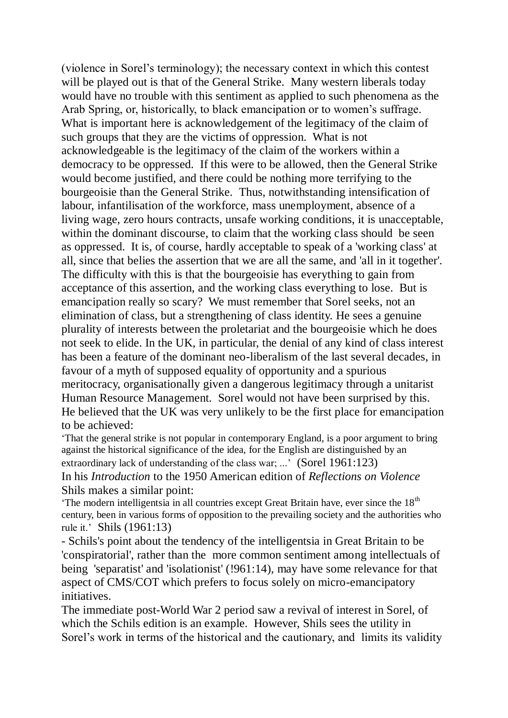(violence in Sorel's terminology); the necessary context in which this contest will be played out is that of the General Strike. Many western liberals today would have no trouble with this sentiment as applied to such phenomena as the Arab Spring, or, historically, to black emancipation or to women's suffrage. What is important here is acknowledgement of the legitimacy of the claim of such groups that they are the victims of oppression. What is not acknowledgeable is the legitimacy of the claim of the workers within a democracy to be oppressed. If this were to be allowed, then the General Strike would become justified, and there could be nothing more terrifying to the bourgeoisie than the General Strike. Thus, notwithstanding intensification of labour, infantilisation of the workforce, mass unemployment, absence of a living wage, zero hours contracts, unsafe working conditions, it is unacceptable, within the dominant discourse, to claim that the working class should be seen as oppressed. It is, of course, hardly acceptable to speak of a 'working class' at all, since that belies the assertion that we are all the same, and 'all in it together'. The difficulty with this is that the bourgeoisie has everything to gain from acceptance of this assertion, and the working class everything to lose. But is emancipation really so scary? We must remember that Sorel seeks, not an elimination of class, but a strengthening of class identity. He sees a genuine plurality of interests between the proletariat and the bourgeoisie which he does not seek to elide. In the UK, in particular, the denial of any kind of class interest has been a feature of the dominant neo-liberalism of the last several decades, in favour of a myth of supposed equality of opportunity and a spurious meritocracy, organisationally given a dangerous legitimacy through a unitarist Human Resource Management. Sorel would not have been surprised by this. He believed that the UK was very unlikely to be the first place for emancipation to be achieved:

'That the general strike is not popular in contemporary England, is a poor argument to bring against the historical significance of the idea, for the English are distinguished by an extraordinary lack of understanding of the class war; ...' (Sorel 1961:123) In his *Introduction* to the 1950 American edition of *Reflections on Violence* Shils makes a similar point:

'The modern intelligentsia in all countries except Great Britain have, ever since the  $18<sup>th</sup>$ century, been in various forms of opposition to the prevailing society and the authorities who rule it.' Shils (1961:13)

- Schils's point about the tendency of the intelligentsia in Great Britain to be 'conspiratorial', rather than the more common sentiment among intellectuals of being 'separatist' and 'isolationist' (!961:14), may have some relevance for that aspect of CMS/COT which prefers to focus solely on micro-emancipatory initiatives.

The immediate post-World War 2 period saw a revival of interest in Sorel, of which the Schils edition is an example. However, Shils sees the utility in Sorel's work in terms of the historical and the cautionary, and limits its validity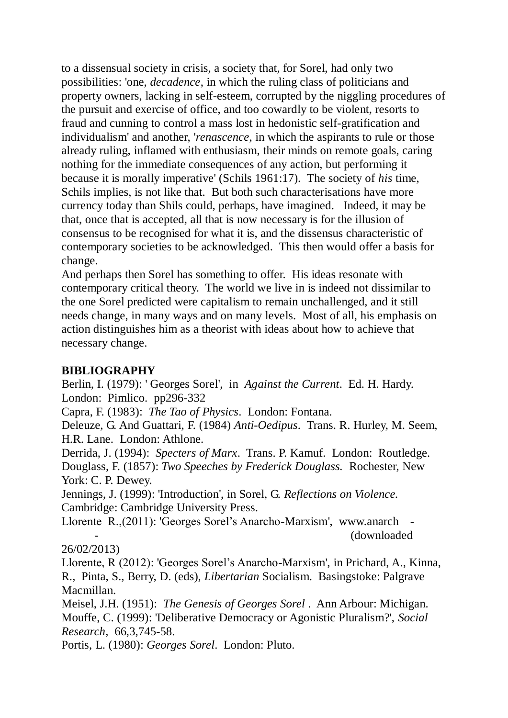to a dissensual society in crisis, a society that, for Sorel, had only two possibilities: 'one, *decadence*, in which the ruling class of politicians and property owners, lacking in self-esteem, corrupted by the niggling procedures of the pursuit and exercise of office, and too cowardly to be violent, resorts to fraud and cunning to control a mass lost in hedonistic self-gratification and individualism' and another, '*renascence*, in which the aspirants to rule or those already ruling, inflamed with enthusiasm, their minds on remote goals, caring nothing for the immediate consequences of any action, but performing it because it is morally imperative' (Schils 1961:17). The society of *his* time, Schils implies, is not like that. But both such characterisations have more currency today than Shils could, perhaps, have imagined. Indeed, it may be that, once that is accepted, all that is now necessary is for the illusion of consensus to be recognised for what it is, and the dissensus characteristic of contemporary societies to be acknowledged. This then would offer a basis for change.

And perhaps then Sorel has something to offer. His ideas resonate with contemporary critical theory. The world we live in is indeed not dissimilar to the one Sorel predicted were capitalism to remain unchallenged, and it still needs change, in many ways and on many levels. Most of all, his emphasis on action distinguishes him as a theorist with ideas about how to achieve that necessary change.

### **BIBLIOGRAPHY**

Berlin, I. (1979): ' Georges Sorel', in *Against the Current*. Ed. H. Hardy. London: Pimlico. pp296-332

Capra, F. (1983): *The Tao of Physics*. London: Fontana.

Deleuze, G. And Guattari, F. (1984) *Anti-Oedipus*. Trans. R. Hurley, M. Seem, H.R. Lane. London: Athlone.

Derrida, J. (1994): *Specters of Marx*. Trans. P. Kamuf. London: Routledge. Douglass, F. (1857): *Two Speeches by Frederick Douglass.* Rochester, New York: C. P. Dewey.

Jennings, J. (1999): 'Introduction', in Sorel, G. *Reflections on Violence.* Cambridge: Cambridge University Press.

Llorente R.,(2011): 'Georges Sorel's Anarcho-Marxism', www.anarch - - (downloaded

26/02/2013)

Llorente, R (2012): 'Georges Sorel's Anarcho-Marxism', in Prichard, A., Kinna, R., Pinta, S., Berry, D. (eds), *Libertarian* Socialism. Basingstoke: Palgrave Macmillan.

Meisel, J.H. (1951): *The Genesis of Georges Sorel* . Ann Arbour: Michigan. Mouffe, C. (1999): 'Deliberative Democracy or Agonistic Pluralism?', *Social Research*, 66,3,745-58.

Portis, L. (1980): *Georges Sorel*. London: Pluto.